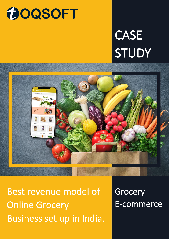# **MOQSOFT**

# **CASE** STUDY



Best revenue model of Online Grocery Business set up in India.

**Grocery** E-commerce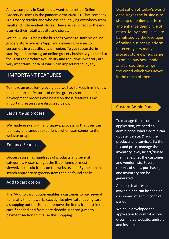A new company in South India wanted to set up Online Grocery Business in the pandemic era 2020-21. That company is a grocery retailer and wholesaler supplying everybody from small and independent stores. They also sell direct to the end user via their retail website and stores.

We at TOQSOFT helps the business owner to start his online grocery store (website/app) and delivers groceries to customers in a specific city or region. To get successful in starting and operating an online grocery business, you need to focus on the product availability and real-time inventory are very important, both of which can impact brand loyalty.

# IMPORTANT FEATURES

To make an excellent grocery app we had to keep in mind few most important features of online grocery store and our development process was based on those features. Few important features are discussed below.

#### Easy sign-up process

We made easy sign-in and sign-up process so that user can feel easy and smooth experience when user comes to the website or app.

#### Enhance Search

Grocery store has hundreds of products and several categories. A user can get the list of items or most viewed/most sold items on the website/app. By the enhance search appropriate grocery items can be found easily.

#### Add to cart option

The "Add to cart" option enables a customer to buy several items at a time. It works exactly like physical shopping cart in a shopping outlet. User can remove the items from list in the cart if needed and from here directly user can jump to payment section to finalise the shopping.

Digitisation of today's world encourages the business to step up on online platform and enhance their circle of reach. Many companies are benefitted by the leverages of online business platform. In recent years many grocery store owners came to online business mode and spread their wings in the world which was never in the reach of them.

#### Custom Admin Panel

To manage the e-commerce application, we need an admin panel where admin can update, delete, & add the products and services, fix the tax and price, manage the inventory level, insert/delete the images, get the customer and vendor lists. Several reports of sales, purchases, and inventory can be generated.

All these features are available and can be seen on dashboard of admin control panel.

We have developed the application to control whole e-commerce website, android and ios app.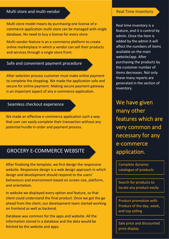## Multi store and multi-vendor

Multi store model means by purchasing one license of ecommerce application multi store can be managed with single database. No need to buy a license for every store.

Multi-vendor feature is an e-commerce platform to create online marketplace in which a vendor can sell their products and services through a single store front.

## Safe and convenient payment procedure

After selection process customer must make online payment to complete the shopping. We made the application safe and secure for online payment. Making secure payment gateway is an important aspect of any e-commerce application.

### Seamless checkout experience

We made an effective e-commerce application such a way that user can easily complete their transaction without any potential hurdle in order and payment process.

## GROCERY E-COMMERCE WEBSITE

After finalising the template, we first design the responsive website. Responsive design is a web design approach in which design and development should respond to the users' behaviours and environment based on screen size, platform, and orientation.

In website we displayed every option and feature, so that client could understand the final product. Once we got the go ahead from the client, our development team started working on frontend as well as backend.

Database was common for the apps and website. All the information stored in a database and the data would be fetched by the website and apps.

#### Real Time Inventory

Real time inventory is a feature, and it is control by admin. Once the item is added by the admin it will affect the numbers of items available on the main website/app. After purchasing the products by the customer number of items decreases. Not only these many reports are generated in the section of inventory.

We have given many other features which are very common and necessary for any e-commerce application.

Complete dynamic catalogue of products

Search for products to locate any product easily

Product promotion with Product of the day, week, and top selling

Sale price and discounted price display